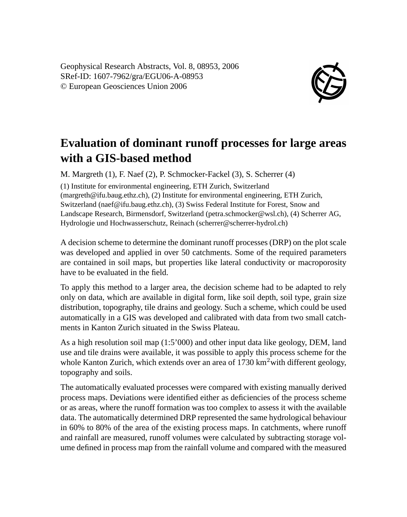Geophysical Research Abstracts, Vol. 8, 08953, 2006 SRef-ID: 1607-7962/gra/EGU06-A-08953 © European Geosciences Union 2006



## **Evaluation of dominant runoff processes for large areas with a GIS-based method**

M. Margreth (1), F. Naef (2), P. Schmocker-Fackel (3), S. Scherrer (4)

(1) Institute for environmental engineering, ETH Zurich, Switzerland (margreth@ifu.baug.ethz.ch), (2) Institute for environmental engineering, ETH Zurich, Switzerland (naef@ifu.baug.ethz.ch), (3) Swiss Federal Institute for Forest, Snow and Landscape Research, Birmensdorf, Switzerland (petra.schmocker@wsl.ch), (4) Scherrer AG, Hydrologie und Hochwasserschutz, Reinach (scherrer@scherrer-hydrol.ch)

A decision scheme to determine the dominant runoff processes (DRP) on the plot scale was developed and applied in over 50 catchments. Some of the required parameters are contained in soil maps, but properties like lateral conductivity or macroporosity have to be evaluated in the field.

To apply this method to a larger area, the decision scheme had to be adapted to rely only on data, which are available in digital form, like soil depth, soil type, grain size distribution, topography, tile drains and geology. Such a scheme, which could be used automatically in a GIS was developed and calibrated with data from two small catchments in Kanton Zurich situated in the Swiss Plateau.

As a high resolution soil map (1:5'000) and other input data like geology, DEM, land use and tile drains were available, it was possible to apply this process scheme for the whole Kanton Zurich, which extends over an area of  $1730 \text{ km}^2$  with different geology, topography and soils.

The automatically evaluated processes were compared with existing manually derived process maps. Deviations were identified either as deficiencies of the process scheme or as areas, where the runoff formation was too complex to assess it with the available data. The automatically determined DRP represented the same hydrological behaviour in 60% to 80% of the area of the existing process maps. In catchments, where runoff and rainfall are measured, runoff volumes were calculated by subtracting storage volume defined in process map from the rainfall volume and compared with the measured